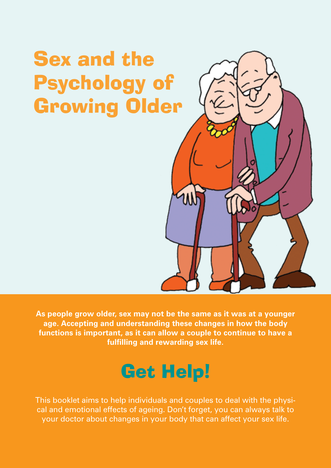# Sex and the Psychology of Growing Older



**As people grow older, sex may not be the same as it was at a younger age. Accepting and understanding these changes in how the body functions is important, as it can allow a couple to continue to have a fulfilling and rewarding sex life.**

## Get Help!

This booklet aims to help individuals and couples to deal with the physical and emotional effects of ageing. Don't forget, you can always talk to your doctor about changes in your body that can affect your sex life.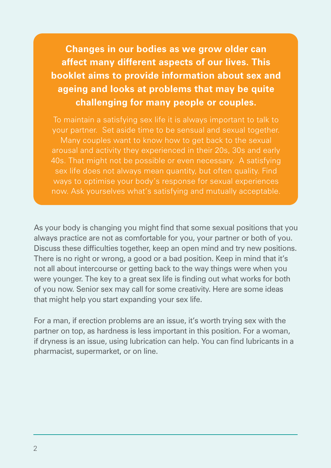**Changes in our bodies as we grow older can affect many different aspects of our lives. This booklet aims to provide information about sex and ageing and looks at problems that may be quite challenging for many people or couples.**

To maintain a satisfying sex life it is always important to talk to your partner. Set aside time to be sensual and sexual together. Many couples want to know how to get back to the sexual arousal and activity they experienced in their 20s, 30s and early 40s. That might not be possible or even necessary. A satisfying sex life does not always mean quantity, but often quality. Find ways to optimise your body's response for sexual experiences now. Ask yourselves what's satisfying and mutually acceptable.

As your body is changing you might find that some sexual positions that you always practice are not as comfortable for you, your partner or both of you. Discuss these difficulties together, keep an open mind and try new positions. There is no right or wrong, a good or a bad position. Keep in mind that it's not all about intercourse or getting back to the way things were when you were younger. The key to a great sex life is finding out what works for both of you now. Senior sex may call for some creativity. Here are some ideas that might help you start expanding your sex life.

For a man, if erection problems are an issue, it's worth trying sex with the partner on top, as hardness is less important in this position. For a woman, if dryness is an issue, using lubrication can help. You can find lubricants in a pharmacist, supermarket, or on line.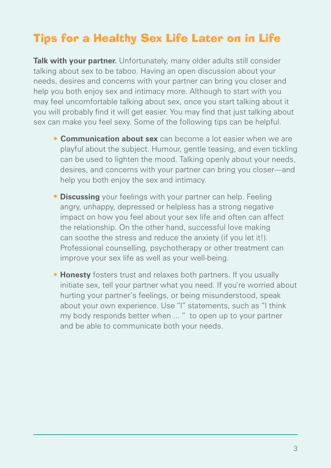## Tips for a Healthy Sex Life Later on in Life

**Talk with your partner.** Unfortunately, many older adults still consider talking about sex to be taboo. Having an open discussion about your needs, desires and concerns with your partner can bring you closer and help you both enjoy sex and intimacy more. Although to start with you may feel uncomfortable talking about sex, once you start talking about it you will probably find it will get easier. You may find that just talking about sex can make you feel sexy. Some of the following tips can be helpful.

- **Communication about sex** can become a lot easier when we are playful about the subject. Humour, gentle teasing, and even tickling can be used to lighten the mood. Talking openly about your needs, desires, and concerns with your partner can bring you closer—and help you both enjoy the sex and intimacy.
- **• Discussing** your feelings with your partner can help. Feeling angry, unhappy, depressed or helpless has a strong negative impact on how you feel about your sex life and often can affect the relationship. On the other hand, successful love making can soothe the stress and reduce the anxiety (if you let it!). Professional counselling, psychotherapy or other treatment can improve your sex life as well as your well-being.
- **• Honesty** fosters trust and relaxes both partners. If you usually initiate sex, tell your partner what you need. If you're worried about hurting your partner's feelings, or being misunderstood, speak about your own experience. Use "I" statements, such as "I think my body responds better when ... " to open up to your partner and be able to communicate both your needs.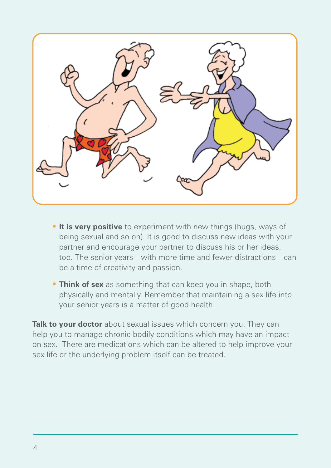

- **•** It is very positive to experiment with new things (hugs, ways of being sexual and so on). It is good to discuss new ideas with your partner and encourage your partner to discuss his or her ideas, too. The senior years—with more time and fewer distractions—can be a time of creativity and passion.
- **• Think of sex** as something that can keep you in shape, both physically and mentally. Remember that maintaining a sex life into your senior years is a matter of good health.

**Talk to your doctor** about sexual issues which concern you. They can help you to manage chronic bodily conditions which may have an impact on sex. There are medications which can be altered to help improve your sex life or the underlying problem itself can be treated.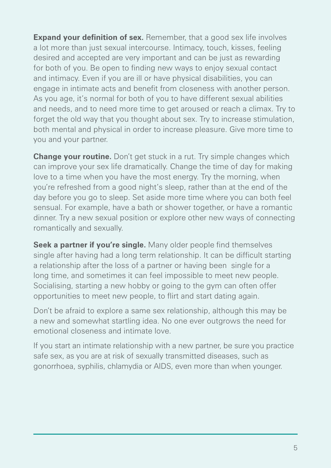**Expand your definition of sex.** Remember, that a good sex life involves a lot more than just sexual intercourse. Intimacy, touch, kisses, feeling desired and accepted are very important and can be just as rewarding for both of you. Be open to finding new ways to enjoy sexual contact and intimacy. Even if you are ill or have physical disabilities, you can engage in intimate acts and benefit from closeness with another person. As you age, it's normal for both of you to have different sexual abilities and needs, and to need more time to get aroused or reach a climax. Try to forget the old way that you thought about sex. Try to increase stimulation, both mental and physical in order to increase pleasure. Give more time to you and your partner.

**Change your routine.** Don't get stuck in a rut. Try simple changes which can improve your sex life dramatically. Change the time of day for making love to a time when you have the most energy. Try the morning, when you're refreshed from a good night's sleep, rather than at the end of the day before you go to sleep. Set aside more time where you can both feel sensual. For example, have a bath or shower together, or have a romantic dinner. Try a new sexual position or explore other new ways of connecting romantically and sexually.

**Seek a partner if you're single.** Many older people find themselves single after having had a long term relationship. It can be difficult starting a relationship after the loss of a partner or having been single for a long time, and sometimes it can feel impossible to meet new people. Socialising, starting a new hobby or going to the gym can often offer opportunities to meet new people, to flirt and start dating again.

Don't be afraid to explore a same sex relationship, although this may be a new and somewhat startling idea. No one ever outgrows the need for emotional closeness and intimate love.

If you start an intimate relationship with a new partner, be sure you practice safe sex, as you are at risk of sexually transmitted diseases, such as gonorrhoea, syphilis, chlamydia or AIDS, even more than when younger.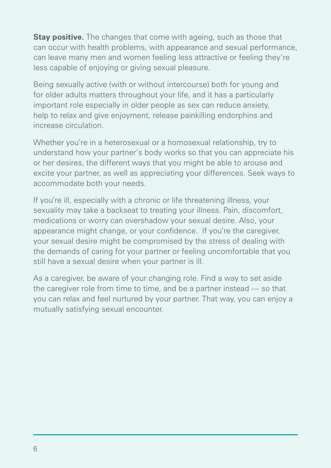**Stay positive.** The changes that come with ageing, such as those that can occur with health problems, with appearance and sexual performance, can leave many men and women feeling less attractive or feeling they're less capable of enjoying or giving sexual pleasure.

Being sexually active (with or without intercourse) both for young and for older adults matters throughout your life, and it has a particularly important role especially in older people as sex can reduce anxiety, help to relax and give enjoyment, release painkilling endorphins and increase circulation.

Whether you're in a heterosexual or a homosexual relationship, try to understand how your partner's body works so that you can appreciate his or her desires, the different ways that you might be able to arouse and excite your partner, as well as appreciating your differences. Seek ways to accommodate both your needs.

If you're ill, especially with a chronic or life threatening illness, your sexuality may take a backseat to treating your illness. Pain, discomfort, medications or worry can overshadow your sexual desire. Also, your appearance might change, or your confidence. If you're the caregiver, your sexual desire might be compromised by the stress of dealing with the demands of caring for your partner or feeling uncomfortable that you still have a sexual desire when your partner is ill.

As a caregiver, be aware of your changing role. Find a way to set aside the caregiver role from time to time, and be a partner instead — so that you can relax and feel nurtured by your partner. That way, you can enjoy a mutually satisfying sexual encounter.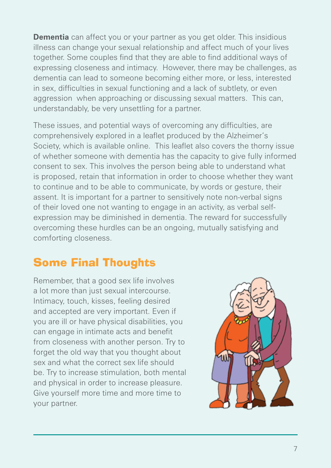**Dementia** can affect you or your partner as you get older. This insidious illness can change your sexual relationship and affect much of your lives together. Some couples find that they are able to find additional ways of expressing closeness and intimacy. However, there may be challenges, as dementia can lead to someone becoming either more, or less, interested in sex, difficulties in sexual functioning and a lack of subtlety, or even aggression when approaching or discussing sexual matters. This can, understandably, be very unsettling for a partner.

These issues, and potential ways of overcoming any difficulties, are comprehensively explored in a leaflet produced by the Alzheimer's Society, which is available online. This leaflet also covers the thorny issue of whether someone with dementia has the capacity to give fully informed consent to sex. This involves the person being able to understand what is proposed, retain that information in order to choose whether they want to continue and to be able to communicate, by words or gesture, their assent. It is important for a partner to sensitively note non-verbal signs of their loved one not wanting to engage in an activity, as verbal selfexpression may be diminished in dementia. The reward for successfully overcoming these hurdles can be an ongoing, mutually satisfying and comforting closeness.

## Some Final Thoughts

Remember, that a good sex life involves a lot more than just sexual intercourse. Intimacy, touch, kisses, feeling desired and accepted are very important. Even if you are ill or have physical disabilities, you can engage in intimate acts and benefit from closeness with another person. Try to forget the old way that you thought about sex and what the correct sex life should be. Try to increase stimulation, both mental and physical in order to increase pleasure. Give yourself more time and more time to your partner.